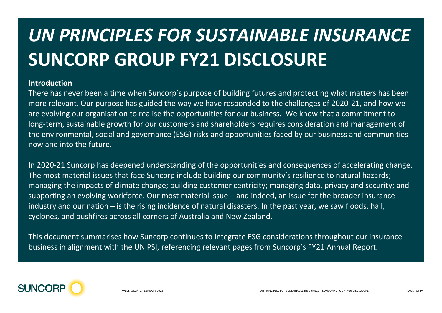## *UN PRINCIPLES FOR SUSTAINABLE INSURANCE* **SUNCORP GROUP FY21 DISCLOSURE**

## **Introduction**

There has never been a time when Suncorp's purpose of building futures and protecting what matters has been more relevant. Our purpose has guided the way we have responded to the challenges of 2020-21, and how we are evolving our organisation to realise the opportunities for our business. We know that a commitment to long-term, sustainable growth for our customers and shareholders requires consideration and management of the environmental, social and governance (ESG) risks and opportunities faced by our business and communities now and into the future.

In 2020-21 Suncorp has deepened understanding of the opportunities and consequences of accelerating change. The most material issues that face Suncorp include building our community's resilience to natural hazards; managing the impacts of climate change; building customer centricity; managing data, privacy and security; and supporting an evolving workforce. Our most material issue – and indeed, an issue for the broader insurance industry and our nation – is the rising incidence of natural disasters. In the past year, we saw floods, hail, cyclones, and bushfires across all corners of Australia and New Zealand.

This document summarises how Suncorp continues to integrate ESG considerations throughout our insurance business in alignment with the UN PSI, referencing relevant pages from Suncorp's FY21 Annual Report.

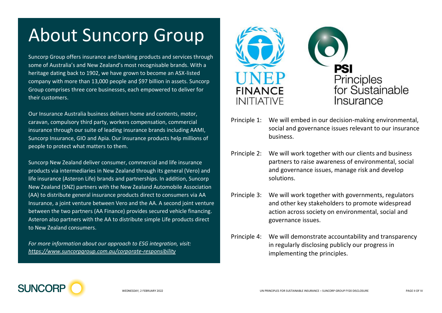## About Suncorp Group

Suncorp Group offers insurance and banking products and services through some of Australia's and New Zealand's most recognisable brands. With a heritage dating back to 1902, we have grown to become an ASX-listed company with more than 13,000 people and \$97 billion in assets. Suncorp Group comprises three core businesses, each empowered to deliver for their customers.

Our Insurance Australia business delivers home and contents, motor, caravan, compulsory third party, workers compensation, commercial insurance through our suite of leading insurance brands including AAMI, Suncorp Insurance, GIO and Apia. Our insurance products help millions of people to protect what matters to them.

Suncorp New Zealand deliver consumer, commercial and life insurance products via intermediaries in New Zealand through its general (Vero) and life insurance (Asteron Life) brands and partnerships. In addition, Suncorp New Zealand (SNZ) partners with the New Zealand Automobile Association (AA) to distribute general insurance products direct to consumers via AA Insurance, a joint venture between Vero and the AA. A second joint venture between the two partners (AA Finance) provides secured vehicle financing. Asteron also partners with the AA to distribute simple Life products direct to New Zealand consumers.

*For more information about our approach to ESG integration, visit: <https://www.suncorpgroup.com.au/corporate-responsibility>*





- Principle 1: We will embed in our decision-making environmental, social and governance issues relevant to our insurance business.
- Principle 2: We will work together with our clients and business partners to raise awareness of environmental, social and governance issues, manage risk and develop solutions.
- Principle 3: We will work together with governments, regulators and other key stakeholders to promote widespread action across society on environmental, social and governance issues.
- Principle 4: We will demonstrate accountability and transparency in regularly disclosing publicly our progress in implementing the principles.

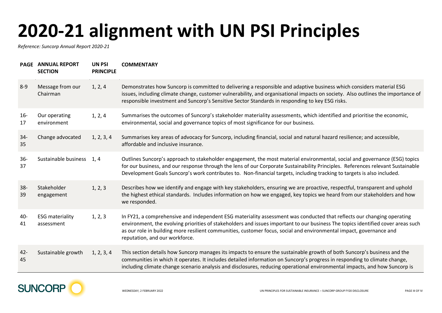## **2020-21 alignment with UN PSI Principles**

*Reference: Suncorp Annual Report 2020-21*

|              | PAGE ANNUAL REPORT<br><b>SECTION</b> | <b>UN PSI</b><br><b>PRINCIPLE</b> | <b>COMMENTARY</b>                                                                                                                                                                                                                                                                                                                                                                                                   |
|--------------|--------------------------------------|-----------------------------------|---------------------------------------------------------------------------------------------------------------------------------------------------------------------------------------------------------------------------------------------------------------------------------------------------------------------------------------------------------------------------------------------------------------------|
| $8 - 9$      | Message from our<br>Chairman         | 1, 2, 4                           | Demonstrates how Suncorp is committed to delivering a responsible and adaptive business which considers material ESG<br>issues, including climate change, customer vulnerability, and organisational impacts on society. Also outlines the importance of<br>responsible investment and Suncorp's Sensitive Sector Standards in responding to key ESG risks.                                                         |
| $16-$<br>17  | Our operating<br>environment         | 1, 2, 4                           | Summarises the outcomes of Suncorp's stakeholder materiality assessments, which identified and prioritise the economic,<br>environmental, social and governance topics of most significance for our business.                                                                                                                                                                                                       |
| $34 -$<br>35 | Change advocated                     | 1, 2, 3, 4                        | Summarises key areas of advocacy for Suncorp, including financial, social and natural hazard resilience; and accessible,<br>affordable and inclusive insurance.                                                                                                                                                                                                                                                     |
| $36 -$<br>37 | Sustainable business                 | 1, 4                              | Outlines Suncorp's approach to stakeholder engagement, the most material environmental, social and governance (ESG) topics<br>for our business, and our response through the lens of our Corporate Sustainability Principles. References relevant Sustainable<br>Development Goals Suncorp's work contributes to. Non-financial targets, including tracking to targets is also included.                            |
| $38 -$<br>39 | Stakeholder<br>engagement            | 1, 2, 3                           | Describes how we identify and engage with key stakeholders, ensuring we are proactive, respectful, transparent and uphold<br>the highest ethical standards. Includes information on how we engaged, key topics we heard from our stakeholders and how<br>we responded.                                                                                                                                              |
| 40-<br>41    | <b>ESG</b> materiality<br>assessment | 1, 2, 3                           | In FY21, a comprehensive and independent ESG materiality assessment was conducted that reflects our changing operating<br>environment, the evolving priorities of stakeholders and issues important to our business The topics identified cover areas such<br>as our role in building more resilient communities, customer focus, social and environmental impact, governance and<br>reputation, and our workforce. |
| $42 -$<br>45 | Sustainable growth                   | 1, 2, 3, 4                        | This section details how Suncorp manages its impacts to ensure the sustainable growth of both Suncorp's business and the<br>communities in which it operates. It includes detailed information on Suncorp's progress in responding to climate change,<br>including climate change scenario analysis and disclosures, reducing operational environmental impacts, and how Suncorp is                                 |